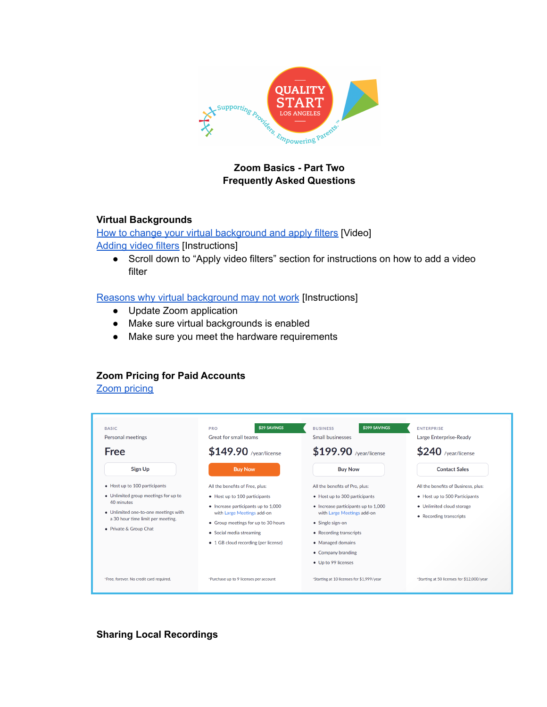

# **Zoom Basics - Part Two Frequently Asked Questions**

### **Virtual Backgrounds**

How to change your virtual [background](https://support.zoom.us/hc/en-us/articles/210707503-Changing-your-Virtual-Background-image) and apply filters [Video] [Adding](https://support.zoom.us/hc/en-us/articles/115002595343) video filters [Instructions]

● Scroll down to "Apply video filters" section for instructions on how to add a video filter

Reasons why virtual [background](https://nerdschalk.com/7-ways-to-fix-zoom-virtual-background-not-working-problem/) may not work [Instructions]

- Update Zoom application
- Make sure virtual backgrounds is enabled
- Make sure you meet the hardware requirements

## **Zoom Pricing for Paid Accounts**

Zoom [pricing](https://zoom.us/pricing)

| <b>BASIC</b><br>Personal meetings                                                                                                                         | \$29 SAVINGS<br><b>PRO</b><br>Great for small teams                                                                                                                                                           | \$399 SAVINGS<br><b>BUSINESS</b><br>Small businesses                                                                                                                                                                | <b>ENTERPRISE</b><br>Large Enterprise-Ready                                           |
|-----------------------------------------------------------------------------------------------------------------------------------------------------------|---------------------------------------------------------------------------------------------------------------------------------------------------------------------------------------------------------------|---------------------------------------------------------------------------------------------------------------------------------------------------------------------------------------------------------------------|---------------------------------------------------------------------------------------|
| <b>Free</b>                                                                                                                                               | $$149.90$ /year/license                                                                                                                                                                                       | \$199.90 /year/license                                                                                                                                                                                              | $$240$ /year/license                                                                  |
| <b>Sign Up</b>                                                                                                                                            | <b>Buy Now</b>                                                                                                                                                                                                | <b>Buy Now</b>                                                                                                                                                                                                      | <b>Contact Sales</b>                                                                  |
| • Host up to 100 participants                                                                                                                             | All the benefits of Free, plus:                                                                                                                                                                               | All the benefits of Pro, plus:                                                                                                                                                                                      | All the benefits of Business, plus:                                                   |
| • Unlimited group meetings for up to<br>40 minutes<br>• Unlimited one-to-one meetings with<br>a 30 hour time limit per meeting.<br>• Private & Group Chat | • Host up to 100 participants<br>• Increase participants up to 1,000<br>with Large Meetings add-on<br>• Group meetings for up to 30 hours<br>• Social media streaming<br>• 1 GB cloud recording (per license) | • Host up to 300 participants<br>• Increase participants up to 1,000<br>with Large Meetings add-on<br>• Single sign-on<br>• Recording transcripts<br>• Managed domains<br>• Company branding<br>• Up to 99 licenses | • Host up to 500 Participants<br>• Unlimited cloud storage<br>• Recording transcripts |
| *Free, forever. No credit card required.                                                                                                                  | *Purchase up to 9 licenses per account                                                                                                                                                                        | 'Starting at 10 licenses for \$1,999/year                                                                                                                                                                           | *Starting at 50 licenses for \$12,000/year                                            |

**Sharing Local Recordings**